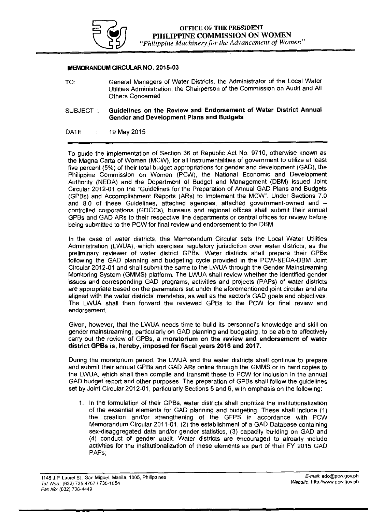

## MEMORANDUM CIRCULAR NO. 2015-03

- TO: General Managers of Water Districts, the Administrator of the Local Water Utilities Administration, the Chairperson of the Commission on Audit and All Others Concerned
- SUBJECT : Guidelines on the Review and Endorsement of Water District Annual Gender and Development Plans and Budgets
- DATE 19 May 2015

To guide the implementation of Section 36 of Republic Act No. 9710, otherwise known as the Magna Carta of Women (MCW), for all instrumentalities of government to utilize at least five percent (5%) of their total budget appropriations for gender and development (GAD), the Philippine Commission on Women (PCW), the National Economic and Development Authority (NEDA) and the Department of Budget and Management (DBM) issued Joint Circular 2012-01 on the "Guidelines for the Preparation of Annual GAD Plans and Budgets (GPBs) and Accomplishment Reports (ARs) to Implement the MCW". Under Sections 7.0 and 8.0 of these Guidelines, attached agencies, attached government-owned and controlled corporations (GOCCs), bureaus and regional offices shall submit their annual GPBs and GAD ARs to their respective line departments or central offices for review before being submitted to the PCW for final review and endorsement to the DBM.

In the case of water districts, this Memorandum Circular sets the Local Water Utilities Administration (LWUA), which exercises regulatory jurisdiction over water districts, as the preliminary reviewer of water district GPBs. Water districts shall prepare their GPBs following the GAD planning and budgeting cycle provided in the PCW-NEDA-DBM Joint Circular 2012-01 and shall submit the same to the LWUA through the Gender Mainstreaming Monitoring System (GMMS) platform. The LWUA shall review whether the identified gender issues and corresponding GAD programs, activities and projects (PAPs) of water districts are appropriate based on the parameters set under the aforementioned joint circular and are aligned with the water districts' mandates, as well as the sector's GAD goals and objectives. The LWUA shall then forward the reviewed GPBs to the PCW for final review and endorsement.

Given, however, that the LWUA needs time to build its personnel's knowledge and skill on gender mainstreaming, particularly on GAD planning and budgeting, to be able to effectively carry out the review of GPBs, a moratorium on the review and endorsement of water district GPBs is, hereby, imposed for fiscal years 2016 and 2017.

During the moratorium period, the LWUA and the water districts shall continue to prepare and submit their annual GPBs and GAD ARs online through the GMMS or in hard copies to the LWUA, which shall then compile and transmit these to PCW for inclusion in the annual GAD budget report and other purposes. The preparation of GPBs shall follow the guidelines set by Joint Circular 2012-01, particularly Sections 5 and 6, with emphasis on the following:

1. In the formulation of their GPBs, water districts shall prioritize the institutionalization of the essential elements for GAD planning and budgeting. These shall include (1) the creation and/or strengthening of the GFPS in accordance with PCW Memorandum Circular 2011-01, (2) the establishment of a GAD Database containing sex-disaggregated data and/or gender statistics, (3) capacity building on GAD and (4) conduct of gender audit. Water districts are encouraged to already include activities for the institutionalization of these elements as part of their FY 2015 GAD PAPs;